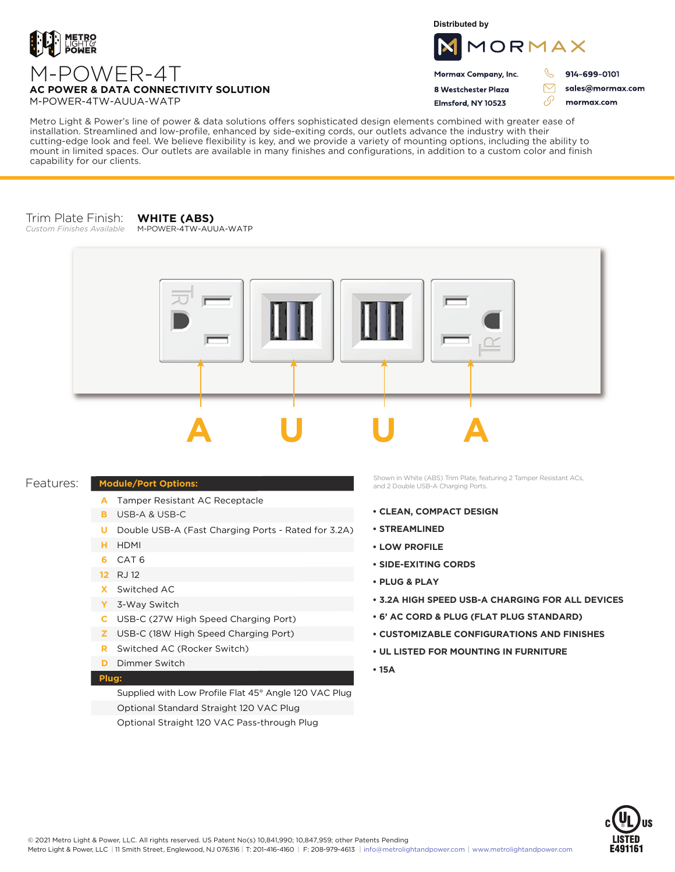

**Distributed by**



 $\triangledown$ 

76

Mormax Company, Inc. 8 Westchester Plaza

Elmsford, NY 10523

914-699-0101

sales@mormax.com mormax.com

**AC POWER & DATA CONNECTIVITY SOLUTION** M-POWER-4TW-AUUA-WATP

M-POWER-4T

Metro Light & Power's line of power & data solutions offers sophisticated design elements combined with greater ease of installation. Streamlined and low-profile, enhanced by side-exiting cords, our outlets advance the industry with their cutting-edge look and feel. We believe flexibility is key, and we provide a variety of mounting options, including the ability to mount in limited spaces. Our outlets are available in many finishes and configurations, in addition to a custom color and finish capability for our clients.

## Trim Plate Finish: *Custom Finishes Available*

**WHITE (ABS)** M-POWER-4TW-AUUA-WATP



## Features:

- A Tamper Resistant AC Receptacle
- USB-A & USB-C **B**

**Module/Port Options:**

- U Double USB-A (Fast Charging Ports Rated for 3.2A)
- HDMI **H**
- CAT 6 **6**
- 12 RJ 12
- Switched AC **X**
- 3-Way Switch **Y**
- USB-C (27W High Speed Charging Port) **C**
- USB-C (18W High Speed Charging Port) **Z**
- Switched AC (Rocker Switch) **R**
- **D** Dimmer Switch

## **Plug:**

Supplied with Low Profile Flat 45° Angle 120 VAC Plug Optional Standard Straight 120 VAC Plug Optional Straight 120 VAC Pass-through Plug

Shown in White (ABS) Trim Plate, featuring 2 Tamper Resistant ACs, and 2 Double USB-A Charging Ports.

- **CLEAN, COMPACT DESIGN**
- **STREAMLINED**
- **LOW PROFILE**
- **SIDE-EXITING CORDS**
- **PLUG & PLAY**
- **3.2A HIGH SPEED USB-A CHARGING FOR ALL DEVICES**
- **6' AC CORD & PLUG (FLAT PLUG STANDARD)**
- **CUSTOMIZABLE CONFIGURATIONS AND FINISHES**
- **UL LISTED FOR MOUNTING IN FURNITURE**
- **15A**